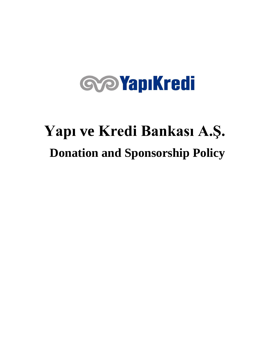# **GOYapıKredi**

## **Yapı ve Kredi Bankası A.Ş. Donation and Sponsorship Policy**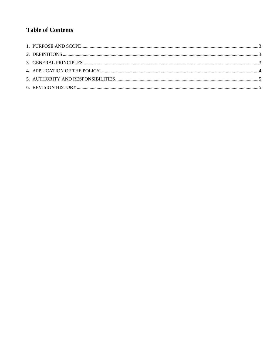### **Table of Contents**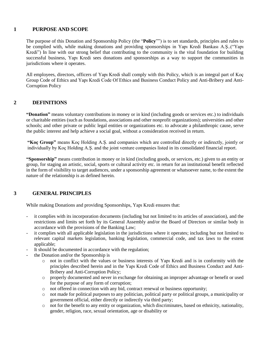#### <span id="page-2-0"></span>**1 PURPOSE AND SCOPE**

The purpose of this Donation and Sponsorship Policy (the "**Policy**"") is to set standards, principles and rules to be complied with, while making donations and providing sponsorships in Yapı Kredi Bankası A.Ş..("Yapı Kredi") In line with our strong belief that contributing to the community is the vital foundation for building successful business, Yapı Kredi sees donations and sponsorships as a way to support the communities in jurisdictions where it operates.

All employees, directors, officers of Yapı Kredi shall comply with this Policy, which is an integral part of Koç Group Code of Ethics and Yapı Kredi Code Of Ethics and Business Conduct Policy and Anti-Bribery and Anti-Corruption Policy

#### <span id="page-2-1"></span>**2 DEFINITIONS**

**"Donation"** means voluntary contributions in money or in kind (including goods or services etc.) to individuals or charitable entities (such as foundations, associations and other nonprofit organizations); universities and other schools; and other private or public legal entities or organizations etc. to advocate a philanthropic cause, serve the public interest and help achieve a social goal, without a consideration received in return.

**"Koç Group"** means Koç Holding A.Ş. and companies which are controlled directly or indirectly, jointly or individually by Koç Holding A.Ş. and the joint venture companies listed in its consolidated financial report.

**"Sponsorship"** means contribution in money or in kind (including goods, or services, etc.) given to an entity or group, for staging an artistic, social, sports or cultural activity etc. in return for an institutional benefit reflected in the form of visibility to target audiences, under a sponsorship agreement or whatsoever name, to the extent the nature of the relationship is as defined herein.

#### <span id="page-2-2"></span>**3 GENERAL PRINCIPLES**

While making Donations and providing Sponsorships, Yapı Kredi ensures that:

- it complies with its incorporation documents (including but not limited to its articles of association), and the restrictions and limits set forth by its General Assembly and/or the Board of Directors or similar body in accordance with the provisions of the Banking Law;
- it complies with all applicable legislation in the jurisdictions where it operates; including but not limited to relevant capital markets legislation, banking legislation, commercial code, and tax laws to the extent applicable;
- It should be documented in accordance with the regulation;
- the Donation and/or the Sponsorship is
	- o not in conflict with the values or business interests of Yapı Kredi and is in conformity with the principles described herein and in the Yapı Kredi Code of Ethics and Business Conduct and Anti-Bribery and Anti-Corruption Policy;
	- o properly documented and never in exchange for obtaining an improper advantage or benefit or used for the purpose of any form of corruption;
	- o not offered in connection with any bid, contract renewal or business opportunity;
	- o not made for political purposes to any politician, political party or political groups, a municipality or government official, either directly or indirectly via third party;
	- o not for the benefit to any entity or organization, which discriminates, based on ethnicity, nationality, gender, religion, race, sexual orientation, age or disability or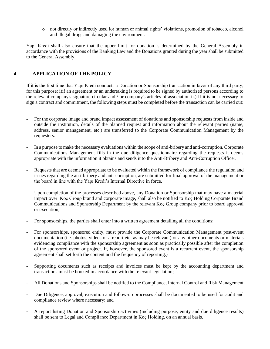o not directly or indirectly used for human or animal rights' violations, promotion of tobacco, alcohol and illegal drugs and damaging the environment.

Yapı Kredi shall also ensure that the upper limit for donation is determined by the General Assembly in accordance with the provisions of the Banking Law and the Donations granted during the year shall be submitted to the General Assembly.

#### <span id="page-3-0"></span>**4 APPLICATION OF THE POLICY**

If it is the first time that Yapı Kredi conducts a Donation or Sponsorship transaction in favor of any third party, for this purpose: i)if an agreement or an undertaking is required to be signed by authorized persons according to the relevant company's signature circular and / or company's articles of association ii.) If it is not necessary to sign a contract and commitment, the following steps must be completed before the transaction can be carried out:

- For the corporate image and brand impact assessment of donations and sponsorship requests from inside and outside the institution, details of the planned request and information about the relevant parties (name, address, senior management, etc.) are transferred to the Corporate Communication Management by the requesters.
- In a purpose to make the necessary evaluations within the scope of anti-bribery and anti-corruption, Corporate Communications Management fills in the due diligence questionnaire regarding the requests it deems appropriate with the information it obtains and sends it to the Anti-Bribery and Anti-Corruption Officer.
- Requests that are deemed appropriate to be evaluated within the framework of compliance the regulation and issues regarding the anti-bribery and anti-corruption, are submitted for final approval of the management or the board in line with the Yapı Kredi's Internal Directive in force.
- Upon completion of the processes described above, any Donation or Sponsorship that may have a material impact over Koç Group brand and corporate image, shall also be notified to Koç Holding Corporate Brand Communications and Sponsorship Department by the relevant Koç Group company prior to board approval or execution;
- For sponsorships, the parties shall enter into a written agreement detailing all the conditions;
- For sponsorships, sponsored entity, must provide the Corporate Communication Management post-event documentation (i.e. photos, videos or a report etc. as may be relevant) or any other documents or materials evidencing compliance with the sponsorship agreement as soon as practically possible after the completion of the sponsored event or project. If, however, the sponsored event is a recurrent event, the sponsorship agreement shall set forth the content and the frequency of reporting.)
- Supporting documents such as receipts and invoices must be kept by the accounting department and transactions must be booked in accordance with the relevant legislation;
- All Donations and Sponsorships shall be notified to the Compliance, Internal Control and Risk Management
- Due Diligence, approval, execution and follow-up processes shall be documented to be used for audit and compliance review where necessary; and
- A report listing Donation and Sponsorship activities (including purpose, entity and due diligence results) shall be sent to Legal and Compliance Department in Koç Holding, on an annual basis.